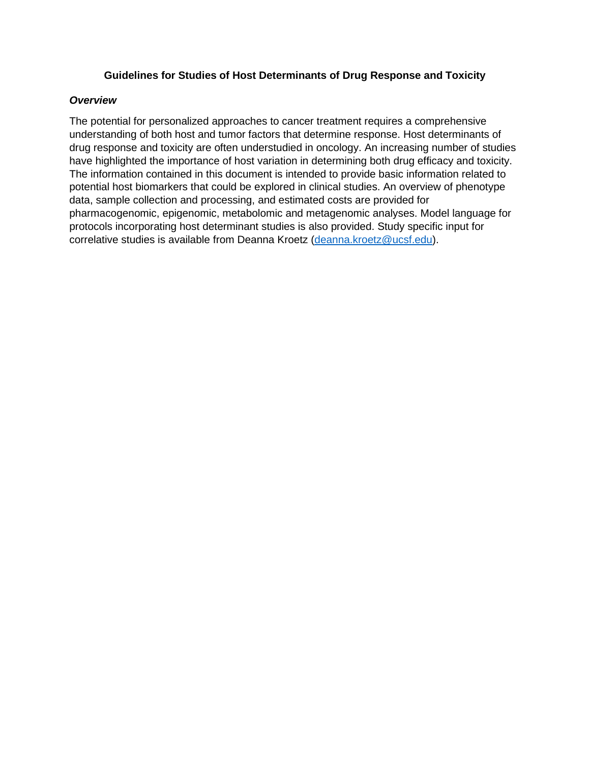#### **Guidelines for Studies of Host Determinants of Drug Response and Toxicity**

#### *Overview*

The potential for personalized approaches to cancer treatment requires a comprehensive understanding of both host and tumor factors that determine response. Host determinants of drug response and toxicity are often understudied in oncology. An increasing number of studies have highlighted the importance of host variation in determining both drug efficacy and toxicity. The information contained in this document is intended to provide basic information related to potential host biomarkers that could be explored in clinical studies. An overview of phenotype data, sample collection and processing, and estimated costs are provided for pharmacogenomic, epigenomic, metabolomic and metagenomic analyses. Model language for protocols incorporating host determinant studies is also provided. Study specific input for correlative studies is available from Deanna Kroetz [\(deanna.kroetz@ucsf.edu\)](mailto:deanna.kroetz@ucsf.edu).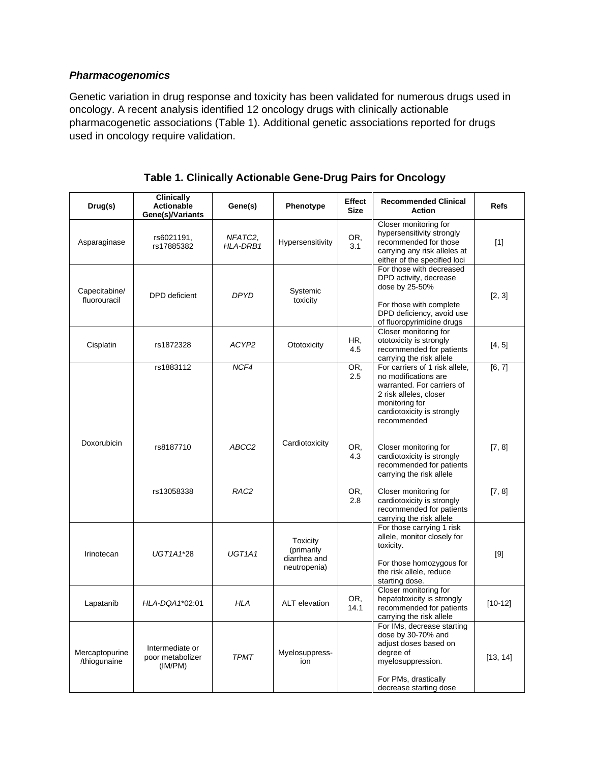# *Pharmacogenomics*

Genetic variation in drug response and toxicity has been validated for numerous drugs used in oncology. A recent analysis identified 12 oncology drugs with clinically actionable pharmacogenetic associations (Table 1). Additional genetic associations reported for drugs used in oncology require validation.

| Drug(s)                        | <b>Clinically</b><br><b>Actionable</b><br>Gene(s)/Variants | Gene(s)                         | Phenotype                                              | Effect<br><b>Size</b> | <b>Recommended Clinical</b><br><b>Action</b>                                                                                                                                  | <b>Refs</b> |
|--------------------------------|------------------------------------------------------------|---------------------------------|--------------------------------------------------------|-----------------------|-------------------------------------------------------------------------------------------------------------------------------------------------------------------------------|-------------|
| Asparaginase                   | rs6021191,<br>rs17885382                                   | NFATC <sub>2</sub><br>HLA-DRB1  | Hypersensitivity                                       | OR.<br>3.1            | Closer monitoring for<br>hypersensitivity strongly<br>recommended for those<br>carrying any risk alleles at<br>either of the specified loci                                   | $[1]$       |
| Capecitabine/<br>fluorouracil  | <b>DPD</b> deficient                                       | <b>DPYD</b>                     | Systemic<br>toxicity                                   |                       | For those with decreased<br>DPD activity, decrease<br>dose by 25-50%<br>For those with complete<br>DPD deficiency, avoid use<br>of fluoropyrimidine drugs                     | [2, 3]      |
| Cisplatin                      | rs1872328                                                  | ACYP2                           | Ototoxicity                                            | HR.<br>4.5            | Closer monitoring for<br>ototoxicity is strongly<br>recommended for patients<br>carrying the risk allele                                                                      | [4, 5]      |
|                                | rs1883112                                                  | NCF4                            |                                                        | OR,<br>2.5            | For carriers of 1 risk allele,<br>no modifications are<br>warranted. For carriers of<br>2 risk alleles, closer<br>monitoring for<br>cardiotoxicity is strongly<br>recommended | [6, 7]      |
| Doxorubicin                    | rs8187710                                                  | ABCC2                           | Cardiotoxicity                                         | OR,<br>4.3            | Closer monitoring for<br>cardiotoxicity is strongly<br>recommended for patients<br>carrying the risk allele                                                                   | [7, 8]      |
|                                | rs13058338                                                 | RAC <sub>2</sub>                |                                                        | OR.<br>2.8            | Closer monitoring for<br>cardiotoxicity is strongly<br>recommended for patients<br>carrying the risk allele                                                                   | [7, 8]      |
| Irinotecan                     | UGT1A1*28                                                  | UGT <sub>1</sub> A <sub>1</sub> | Toxicity<br>(primarily<br>diarrhea and<br>neutropenia) |                       | For those carrying 1 risk<br>allele, monitor closely for<br>toxicity.<br>For those homozygous for<br>the risk allele, reduce<br>starting dose.                                | $[9]$       |
| Lapatanib                      | HLA-DQA1*02:01                                             | <b>HLA</b>                      | ALT elevation                                          | OR.<br>14.1           | Closer monitoring for<br>hepatotoxicity is strongly<br>recommended for patients<br>carrying the risk allele                                                                   | $[10-12]$   |
| Mercaptopurine<br>/thiogunaine | Intermediate or<br>poor metabolizer<br>(IM/PM)             | <b>TPMT</b>                     | Myelosuppress-<br>ion                                  |                       | For IMs, decrease starting<br>dose by 30-70% and<br>adjust doses based on<br>degree of<br>myelosuppression.<br>For PMs, drastically<br>decrease starting dose                 | [13, 14]    |

| Table 1. Clinically Actionable Gene-Drug Pairs for Oncology |  |  |  |  |
|-------------------------------------------------------------|--|--|--|--|
|-------------------------------------------------------------|--|--|--|--|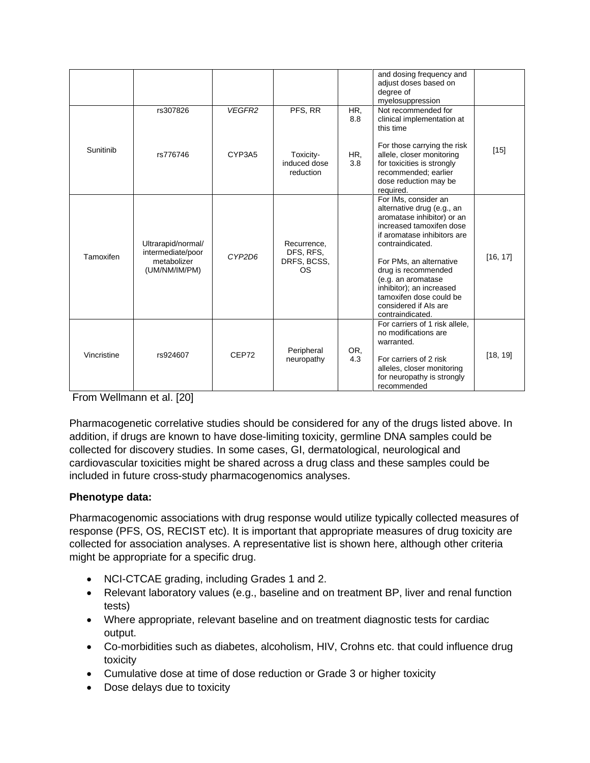|             |                                                                         |        |                                               |            | and dosing frequency and<br>adjust doses based on<br>degree of<br>myelosuppression                                                                                                                                                                                                                                                          |          |
|-------------|-------------------------------------------------------------------------|--------|-----------------------------------------------|------------|---------------------------------------------------------------------------------------------------------------------------------------------------------------------------------------------------------------------------------------------------------------------------------------------------------------------------------------------|----------|
|             | rs307826                                                                | VEGFR2 | PFS, RR                                       | HR.<br>8.8 | Not recommended for<br>clinical implementation at<br>this time                                                                                                                                                                                                                                                                              |          |
| Sunitinib   | rs776746                                                                | CYP3A5 | Toxicity-<br>induced dose<br>reduction        | HR,<br>3.8 | For those carrying the risk<br>allele, closer monitoring<br>for toxicities is strongly<br>recommended; earlier<br>dose reduction may be<br>required.                                                                                                                                                                                        | $[15]$   |
| Tamoxifen   | Ultrarapid/normal/<br>intermediate/poor<br>metabolizer<br>(UM/NM/IM/PM) | CYP2D6 | Recurrence.<br>DFS, RFS,<br>DRFS, BCSS,<br>OS |            | For IMs, consider an<br>alternative drug (e.g., an<br>aromatase inhibitor) or an<br>increased tamoxifen dose<br>if aromatase inhibitors are<br>contraindicated.<br>For PMs, an alternative<br>drug is recommended<br>(e.g. an aromatase<br>inhibitor); an increased<br>tamoxifen dose could be<br>considered if Als are<br>contraindicated. | [16, 17] |
| Vincristine | rs924607                                                                | CEP72  | Peripheral<br>neuropathy                      | OR,<br>4.3 | For carriers of 1 risk allele,<br>no modifications are<br>warranted.<br>For carriers of 2 risk<br>alleles, closer monitoring<br>for neuropathy is strongly<br>recommended                                                                                                                                                                   | [18, 19] |

From Wellmann et al. [20]

Pharmacogenetic correlative studies should be considered for any of the drugs listed above. In addition, if drugs are known to have dose-limiting toxicity, germline DNA samples could be collected for discovery studies. In some cases, GI, dermatological, neurological and cardiovascular toxicities might be shared across a drug class and these samples could be included in future cross-study pharmacogenomics analyses.

# **Phenotype data:**

Pharmacogenomic associations with drug response would utilize typically collected measures of response (PFS, OS, RECIST etc). It is important that appropriate measures of drug toxicity are collected for association analyses. A representative list is shown here, although other criteria might be appropriate for a specific drug.

- NCI-CTCAE grading, including Grades 1 and 2.
- Relevant laboratory values (e.g., baseline and on treatment BP, liver and renal function tests)
- Where appropriate, relevant baseline and on treatment diagnostic tests for cardiac output.
- Co-morbidities such as diabetes, alcoholism, HIV, Crohns etc. that could influence drug toxicity
- Cumulative dose at time of dose reduction or Grade 3 or higher toxicity
- Dose delays due to toxicity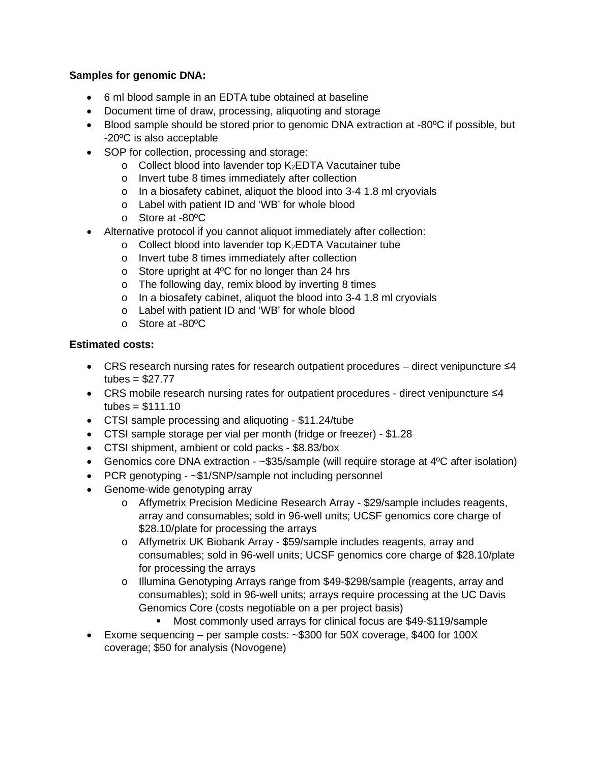# **Samples for genomic DNA:**

- 6 ml blood sample in an EDTA tube obtained at baseline
- Document time of draw, processing, aliquoting and storage
- Blood sample should be stored prior to genomic DNA extraction at -80ºC if possible, but -20ºC is also acceptable
- SOP for collection, processing and storage:
	- o Collect blood into lavender top K2EDTA Vacutainer tube
	- o Invert tube 8 times immediately after collection
	- o In a biosafety cabinet, aliquot the blood into 3-4 1.8 ml cryovials
	- o Label with patient ID and 'WB' for whole blood
	- o Store at -80ºC
- Alternative protocol if you cannot aliquot immediately after collection:
	- o Collect blood into lavender top K2EDTA Vacutainer tube
	- o Invert tube 8 times immediately after collection
	- o Store upright at 4ºC for no longer than 24 hrs
	- o The following day, remix blood by inverting 8 times
	- o In a biosafety cabinet, aliquot the blood into 3-4 1.8 ml cryovials
	- o Label with patient ID and 'WB' for whole blood
	- o Store at -80ºC

- CRS research nursing rates for research outpatient procedures direct venipuncture ≤4 tubes =  $$27.77$
- CRS mobile research nursing rates for outpatient procedures direct venipuncture ≤4  $tubes = $111.10$
- CTSI sample processing and aliquoting \$11.24/tube
- CTSI sample storage per vial per month (fridge or freezer) \$1.28
- CTSI shipment, ambient or cold packs \$8.83/box
- Genomics core DNA extraction ~\$35/sample (will require storage at 4°C after isolation)
- PCR genotyping ~\$1/SNP/sample not including personnel
- Genome-wide genotyping array
	- o Affymetrix Precision Medicine Research Array \$29/sample includes reagents, array and consumables; sold in 96-well units; UCSF genomics core charge of \$28.10/plate for processing the arrays
	- o Affymetrix UK Biobank Array \$59/sample includes reagents, array and consumables; sold in 96-well units; UCSF genomics core charge of \$28.10/plate for processing the arrays
	- o Illumina Genotyping Arrays range from \$49-\$298/sample (reagents, array and consumables); sold in 96-well units; arrays require processing at the UC Davis Genomics Core (costs negotiable on a per project basis)
		- Most commonly used arrays for clinical focus are \$49-\$119/sample
- Exome sequencing per sample costs: ~\$300 for 50X coverage, \$400 for 100X coverage; \$50 for analysis (Novogene)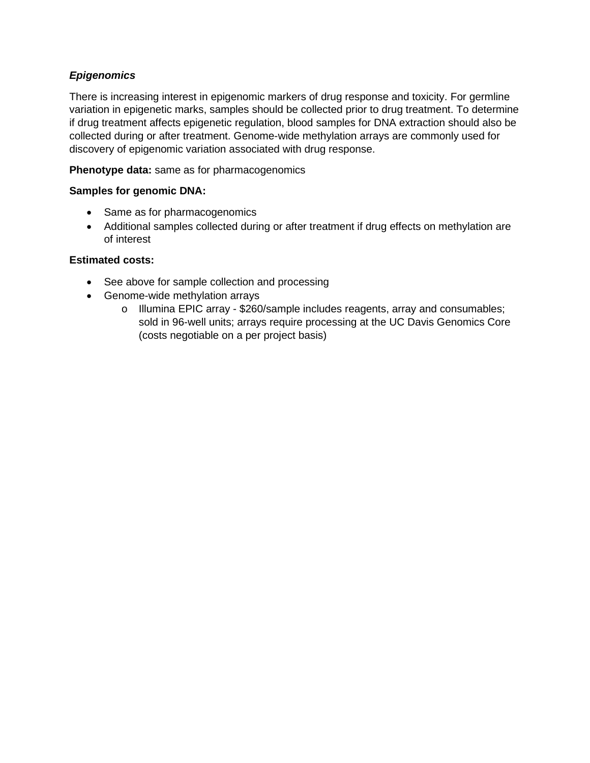# *Epigenomics*

There is increasing interest in epigenomic markers of drug response and toxicity. For germline variation in epigenetic marks, samples should be collected prior to drug treatment. To determine if drug treatment affects epigenetic regulation, blood samples for DNA extraction should also be collected during or after treatment. Genome-wide methylation arrays are commonly used for discovery of epigenomic variation associated with drug response.

# **Phenotype data:** same as for pharmacogenomics

# **Samples for genomic DNA:**

- Same as for pharmacogenomics
- Additional samples collected during or after treatment if drug effects on methylation are of interest

- See above for sample collection and processing
- Genome-wide methylation arrays
	- o Illumina EPIC array \$260/sample includes reagents, array and consumables; sold in 96-well units; arrays require processing at the UC Davis Genomics Core (costs negotiable on a per project basis)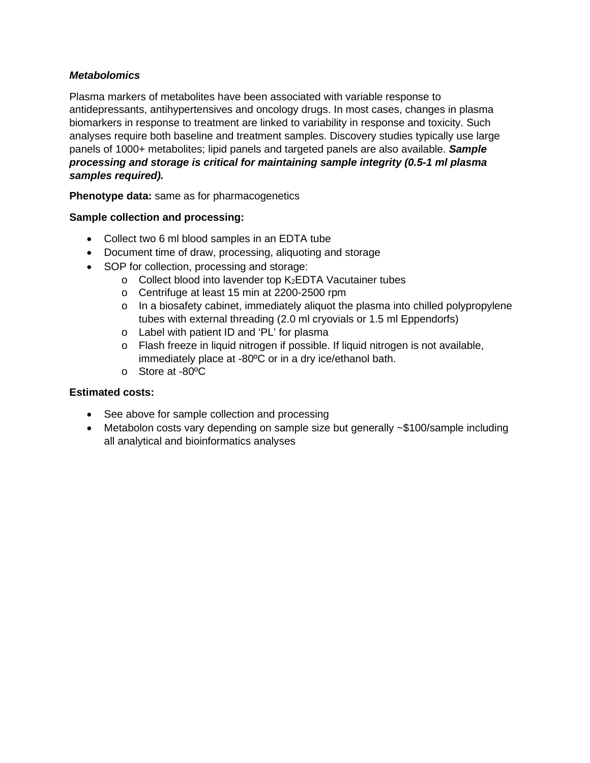## *Metabolomics*

Plasma markers of metabolites have been associated with variable response to antidepressants, antihypertensives and oncology drugs. In most cases, changes in plasma biomarkers in response to treatment are linked to variability in response and toxicity. Such analyses require both baseline and treatment samples. Discovery studies typically use large panels of 1000+ metabolites; lipid panels and targeted panels are also available. *Sample processing and storage is critical for maintaining sample integrity (0.5-1 ml plasma samples required).*

**Phenotype data:** same as for pharmacogenetics

# **Sample collection and processing:**

- Collect two 6 ml blood samples in an EDTA tube
- Document time of draw, processing, aliquoting and storage
- SOP for collection, processing and storage:
	- $\circ$  Collect blood into lavender top K<sub>2</sub>EDTA Vacutainer tubes
	- o Centrifuge at least 15 min at 2200-2500 rpm
	- o In a biosafety cabinet, immediately aliquot the plasma into chilled polypropylene tubes with external threading (2.0 ml cryovials or 1.5 ml Eppendorfs)
	- o Label with patient ID and 'PL' for plasma
	- $\circ$  Flash freeze in liquid nitrogen if possible. If liquid nitrogen is not available, immediately place at -80ºC or in a dry ice/ethanol bath.
	- o Store at -80ºC

- See above for sample collection and processing
- Metabolon costs vary depending on sample size but generally ~\$100/sample including all analytical and bioinformatics analyses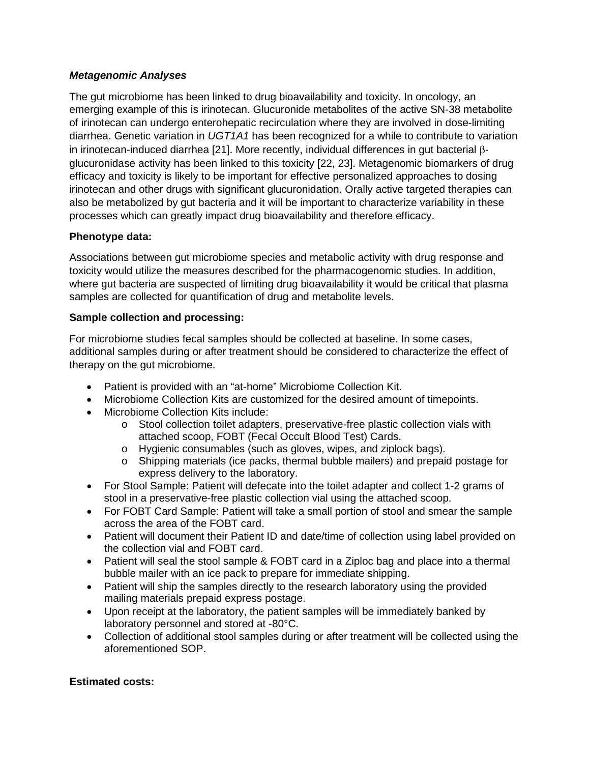# *Metagenomic Analyses*

The gut microbiome has been linked to drug bioavailability and toxicity. In oncology, an emerging example of this is irinotecan. Glucuronide metabolites of the active SN-38 metabolite of irinotecan can undergo enterohepatic recirculation where they are involved in dose-limiting diarrhea. Genetic variation in *UGT1A1* has been recognized for a while to contribute to variation in irinotecan-induced diarrhea [21]. More recently, individual differences in gut bacterial βglucuronidase activity has been linked to this toxicity [22, 23]. Metagenomic biomarkers of drug efficacy and toxicity is likely to be important for effective personalized approaches to dosing irinotecan and other drugs with significant glucuronidation. Orally active targeted therapies can also be metabolized by gut bacteria and it will be important to characterize variability in these processes which can greatly impact drug bioavailability and therefore efficacy.

# **Phenotype data:**

Associations between gut microbiome species and metabolic activity with drug response and toxicity would utilize the measures described for the pharmacogenomic studies. In addition, where gut bacteria are suspected of limiting drug bioavailability it would be critical that plasma samples are collected for quantification of drug and metabolite levels.

# **Sample collection and processing:**

For microbiome studies fecal samples should be collected at baseline. In some cases, additional samples during or after treatment should be considered to characterize the effect of therapy on the gut microbiome.

- Patient is provided with an "at-home" Microbiome Collection Kit.
- Microbiome Collection Kits are customized for the desired amount of timepoints.
- Microbiome Collection Kits include:
	- o Stool collection toilet adapters, preservative-free plastic collection vials with attached scoop, FOBT (Fecal Occult Blood Test) Cards.
	- o Hygienic consumables (such as gloves, wipes, and ziplock bags).
	- o Shipping materials (ice packs, thermal bubble mailers) and prepaid postage for express delivery to the laboratory.
- For Stool Sample: Patient will defecate into the toilet adapter and collect 1-2 grams of stool in a preservative-free plastic collection vial using the attached scoop.
- For FOBT Card Sample: Patient will take a small portion of stool and smear the sample across the area of the FOBT card.
- Patient will document their Patient ID and date/time of collection using label provided on the collection vial and FOBT card.
- Patient will seal the stool sample & FOBT card in a Ziploc bag and place into a thermal bubble mailer with an ice pack to prepare for immediate shipping.
- Patient will ship the samples directly to the research laboratory using the provided mailing materials prepaid express postage.
- Upon receipt at the laboratory, the patient samples will be immediately banked by laboratory personnel and stored at -80°C.
- Collection of additional stool samples during or after treatment will be collected using the aforementioned SOP.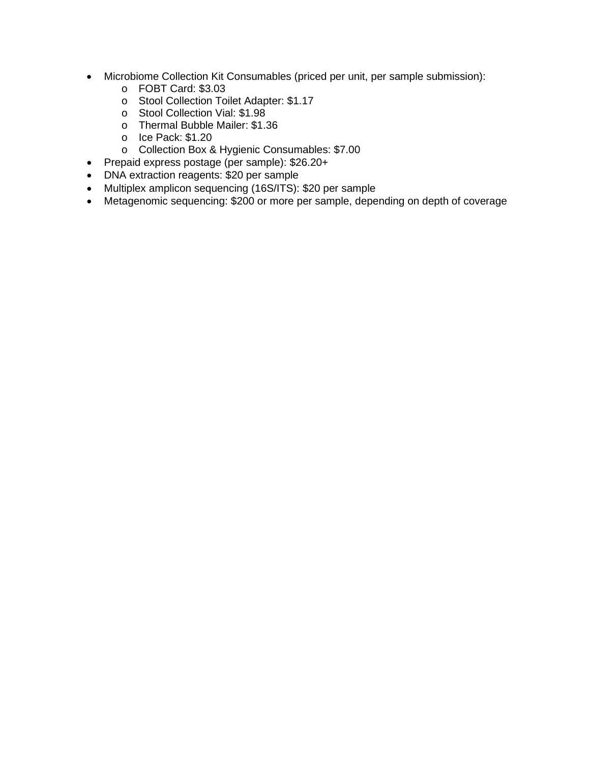- Microbiome Collection Kit Consumables (priced per unit, per sample submission):
	- o FOBT Card: \$3.03
	- o Stool Collection Toilet Adapter: \$1.17
	- o Stool Collection Vial: \$1.98
	- o Thermal Bubble Mailer: \$1.36
	- o Ice Pack: \$1.20
	- o Collection Box & Hygienic Consumables: \$7.00
- Prepaid express postage (per sample): \$26.20+
- DNA extraction reagents: \$20 per sample
- Multiplex amplicon sequencing (16S/ITS): \$20 per sample
- Metagenomic sequencing: \$200 or more per sample, depending on depth of coverage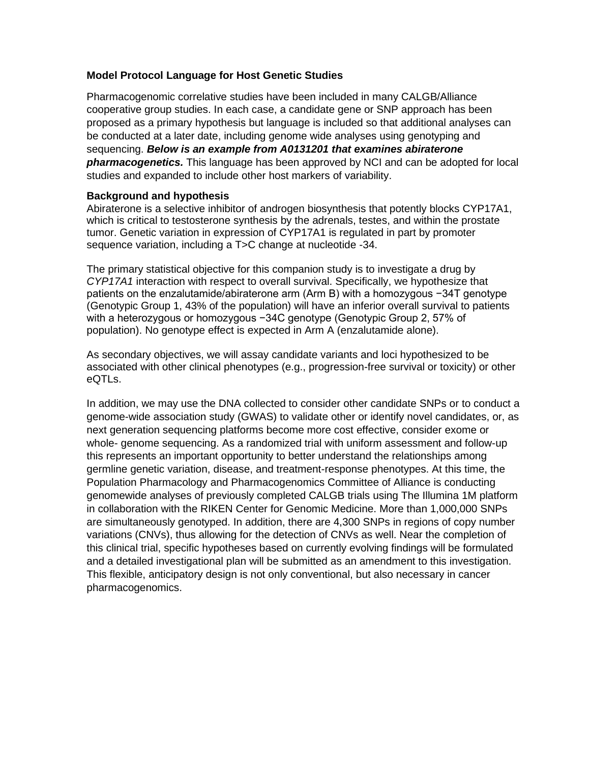#### **Model Protocol Language for Host Genetic Studies**

Pharmacogenomic correlative studies have been included in many CALGB/Alliance cooperative group studies. In each case, a candidate gene or SNP approach has been proposed as a primary hypothesis but language is included so that additional analyses can be conducted at a later date, including genome wide analyses using genotyping and sequencing. *Below is an example from A0131201 that examines abiraterone pharmacogenetics.* This language has been approved by NCI and can be adopted for local studies and expanded to include other host markers of variability.

#### **Background and hypothesis**

Abiraterone is a selective inhibitor of androgen biosynthesis that potently blocks CYP17A1, which is critical to testosterone synthesis by the adrenals, testes, and within the prostate tumor. Genetic variation in expression of CYP17A1 is regulated in part by promoter sequence variation, including a T>C change at nucleotide -34.

The primary statistical objective for this companion study is to investigate a drug by *CYP17A1* interaction with respect to overall survival. Specifically, we hypothesize that patients on the enzalutamide/abiraterone arm (Arm B) with a homozygous −34T genotype (Genotypic Group 1, 43% of the population) will have an inferior overall survival to patients with a heterozygous or homozygous −34C genotype (Genotypic Group 2, 57% of population). No genotype effect is expected in Arm A (enzalutamide alone).

As secondary objectives, we will assay candidate variants and loci hypothesized to be associated with other clinical phenotypes (e.g., progression-free survival or toxicity) or other eQTLs.

In addition, we may use the DNA collected to consider other candidate SNPs or to conduct a genome-wide association study (GWAS) to validate other or identify novel candidates, or, as next generation sequencing platforms become more cost effective, consider exome or whole- genome sequencing. As a randomized trial with uniform assessment and follow-up this represents an important opportunity to better understand the relationships among germline genetic variation, disease, and treatment-response phenotypes. At this time, the Population Pharmacology and Pharmacogenomics Committee of Alliance is conducting genomewide analyses of previously completed CALGB trials using The Illumina 1M platform in collaboration with the RIKEN Center for Genomic Medicine. More than 1,000,000 SNPs are simultaneously genotyped. In addition, there are 4,300 SNPs in regions of copy number variations (CNVs), thus allowing for the detection of CNVs as well. Near the completion of this clinical trial, specific hypotheses based on currently evolving findings will be formulated and a detailed investigational plan will be submitted as an amendment to this investigation. This flexible, anticipatory design is not only conventional, but also necessary in cancer pharmacogenomics.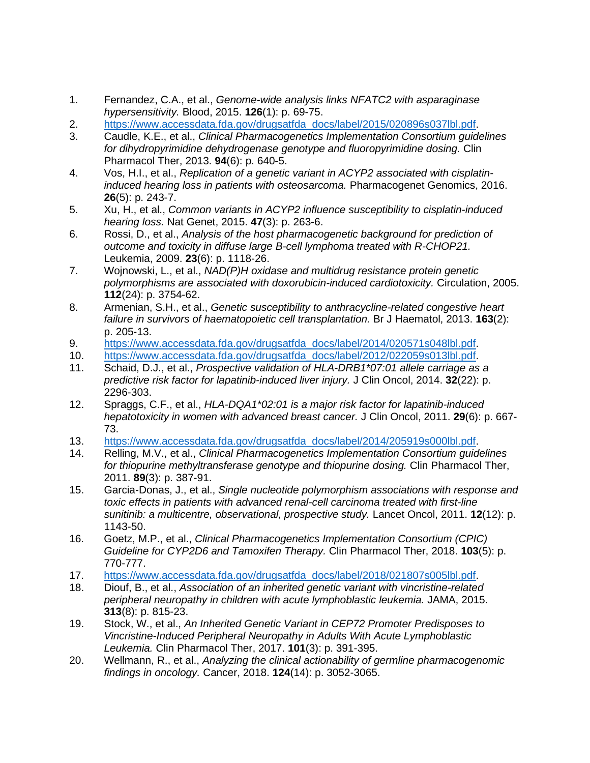- 1. Fernandez, C.A., et al., *Genome-wide analysis links NFATC2 with asparaginase hypersensitivity.* Blood, 2015. **126**(1): p. 69-75.
- 2. [https://www.accessdata.fda.gov/drugsatfda\\_docs/label/2015/020896s037lbl.pdf.](https://www.accessdata.fda.gov/drugsatfda_docs/label/2015/020896s037lbl.pdf)
- 3. Caudle, K.E., et al., *Clinical Pharmacogenetics Implementation Consortium guidelines for dihydropyrimidine dehydrogenase genotype and fluoropyrimidine dosing.* Clin Pharmacol Ther, 2013. **94**(6): p. 640-5.
- 4. Vos, H.I., et al., *Replication of a genetic variant in ACYP2 associated with cisplatininduced hearing loss in patients with osteosarcoma.* Pharmacogenet Genomics, 2016. **26**(5): p. 243-7.
- 5. Xu, H., et al., *Common variants in ACYP2 influence susceptibility to cisplatin-induced hearing loss.* Nat Genet, 2015. **47**(3): p. 263-6.
- 6. Rossi, D., et al., *Analysis of the host pharmacogenetic background for prediction of outcome and toxicity in diffuse large B-cell lymphoma treated with R-CHOP21.* Leukemia, 2009. **23**(6): p. 1118-26.
- 7. Wojnowski, L., et al., *NAD(P)H oxidase and multidrug resistance protein genetic polymorphisms are associated with doxorubicin-induced cardiotoxicity.* Circulation, 2005. **112**(24): p. 3754-62.
- 8. Armenian, S.H., et al., *Genetic susceptibility to anthracycline-related congestive heart failure in survivors of haematopoietic cell transplantation.* Br J Haematol, 2013. **163**(2): p. 205-13.
- 9. [https://www.accessdata.fda.gov/drugsatfda\\_docs/label/2014/020571s048lbl.pdf.](https://www.accessdata.fda.gov/drugsatfda_docs/label/2014/020571s048lbl.pdf)
- 10. [https://www.accessdata.fda.gov/drugsatfda\\_docs/label/2012/022059s013lbl.pdf.](https://www.accessdata.fda.gov/drugsatfda_docs/label/2012/022059s013lbl.pdf)
- 11. Schaid, D.J., et al., *Prospective validation of HLA-DRB1\*07:01 allele carriage as a predictive risk factor for lapatinib-induced liver injury.* J Clin Oncol, 2014. **32**(22): p. 2296-303.
- 12. Spraggs, C.F., et al., *HLA-DQA1\*02:01 is a major risk factor for lapatinib-induced hepatotoxicity in women with advanced breast cancer.* J Clin Oncol, 2011. **29**(6): p. 667- 73.
- 13. [https://www.accessdata.fda.gov/drugsatfda\\_docs/label/2014/205919s000lbl.pdf.](https://www.accessdata.fda.gov/drugsatfda_docs/label/2014/205919s000lbl.pdf)
- 14. Relling, M.V., et al., *Clinical Pharmacogenetics Implementation Consortium guidelines for thiopurine methyltransferase genotype and thiopurine dosing.* Clin Pharmacol Ther, 2011. **89**(3): p. 387-91.
- 15. Garcia-Donas, J., et al., *Single nucleotide polymorphism associations with response and toxic effects in patients with advanced renal-cell carcinoma treated with first-line sunitinib: a multicentre, observational, prospective study.* Lancet Oncol, 2011. **12**(12): p. 1143-50.
- 16. Goetz, M.P., et al., *Clinical Pharmacogenetics Implementation Consortium (CPIC) Guideline for CYP2D6 and Tamoxifen Therapy.* Clin Pharmacol Ther, 2018. **103**(5): p. 770-777.
- 17. [https://www.accessdata.fda.gov/drugsatfda\\_docs/label/2018/021807s005lbl.pdf.](https://www.accessdata.fda.gov/drugsatfda_docs/label/2018/021807s005lbl.pdf)
- 18. Diouf, B., et al., *Association of an inherited genetic variant with vincristine-related peripheral neuropathy in children with acute lymphoblastic leukemia.* JAMA, 2015. **313**(8): p. 815-23.
- 19. Stock, W., et al., *An Inherited Genetic Variant in CEP72 Promoter Predisposes to Vincristine-Induced Peripheral Neuropathy in Adults With Acute Lymphoblastic Leukemia.* Clin Pharmacol Ther, 2017. **101**(3): p. 391-395.
- 20. Wellmann, R., et al., *Analyzing the clinical actionability of germline pharmacogenomic findings in oncology.* Cancer, 2018. **124**(14): p. 3052-3065.